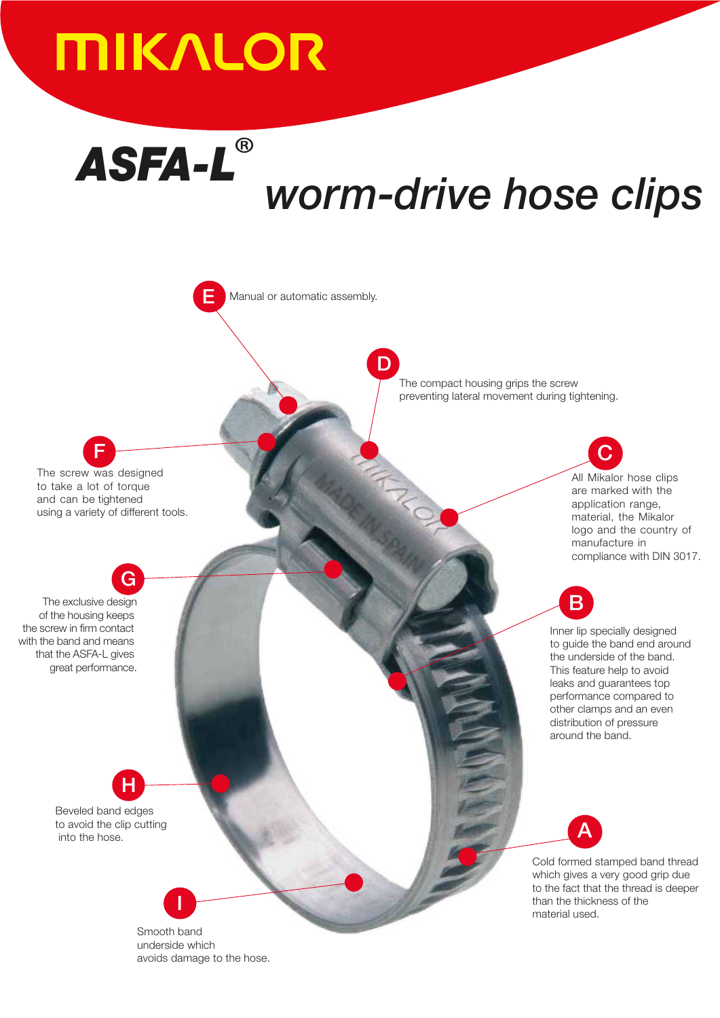## **MIKALOR**

E

.

Manual or automatic assembly.

# *ASFA-L worm-drive hose clips*

D



G The exclusive design of the housing keeps the screw in firm contact with the band and means that the ASFA-L gives great performance.

> H Beveled band edges to avoid the clip cutting into the hose.

> > Smooth band underside which avoids damage to the hose.

I

The compact housing grips the screw preventing lateral movement during tightening.

> C All Mikalor hose clips are marked with the application range, material, the Mikalor logo and the country of manufacture in compliance with DIN 3017.

B

Inner lip specially designed to guide the band end around the underside of the band. This feature help to avoid leaks and guarantees top performance compared to other clamps and an even distribution of pressure around the band.

A

Cold formed stamped band thread which gives a very good grip due to the fact that the thread is deeper than the thickness of the material used.